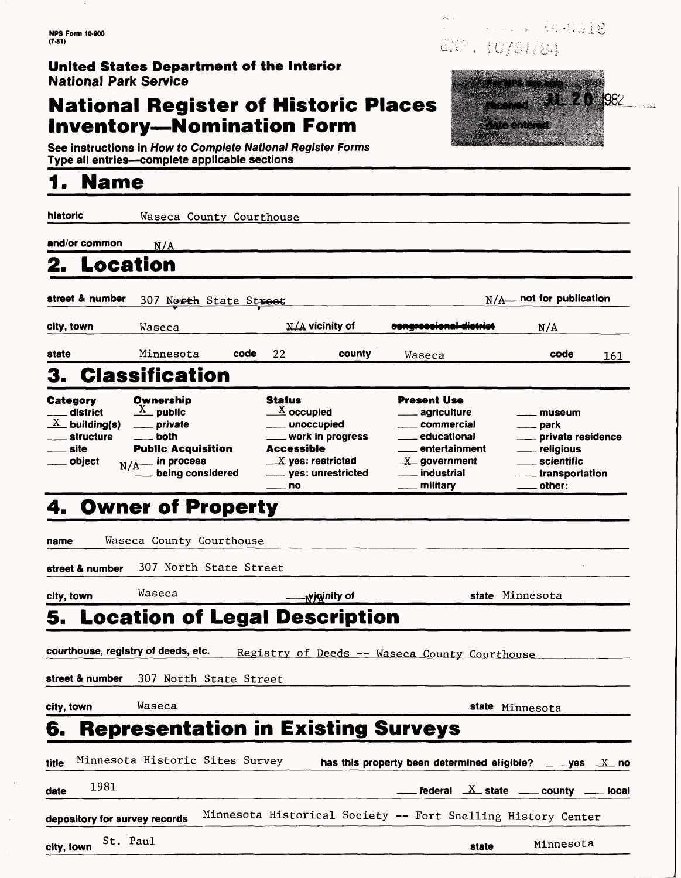### **United States Department of the Interior** National Park Service

### **National Register of Historic Places Inventory—Nomination Form**

**See instructions in How to Complete National Register Forms Type all entries—complete applicable sections**

### 1. Name

| historic                                                                                  | Waseca County Courthouse                                                                                                  |                                                                                                                                                                   |                                                                                                                          |                                                                                                                                |  |
|-------------------------------------------------------------------------------------------|---------------------------------------------------------------------------------------------------------------------------|-------------------------------------------------------------------------------------------------------------------------------------------------------------------|--------------------------------------------------------------------------------------------------------------------------|--------------------------------------------------------------------------------------------------------------------------------|--|
| and/or common                                                                             | N/A                                                                                                                       |                                                                                                                                                                   |                                                                                                                          |                                                                                                                                |  |
| 2. Location                                                                               |                                                                                                                           |                                                                                                                                                                   |                                                                                                                          |                                                                                                                                |  |
| street & number                                                                           | 307 North State Street                                                                                                    |                                                                                                                                                                   | $N/A$ not for publication                                                                                                |                                                                                                                                |  |
| city, town                                                                                | Waseca                                                                                                                    | N/A vicinity of                                                                                                                                                   | conaroccional diotriot                                                                                                   | N/A                                                                                                                            |  |
| state                                                                                     | Minnesota<br>code                                                                                                         | county<br>22                                                                                                                                                      | Waseca                                                                                                                   | code<br>161                                                                                                                    |  |
| 3.                                                                                        | <b>Classification</b>                                                                                                     |                                                                                                                                                                   |                                                                                                                          |                                                                                                                                |  |
| <b>Category</b><br>district<br>$\underline{X}$ building(s)<br>structure<br>site<br>object | Ownership<br>$\frac{X}{X}$ public<br>private<br>both<br><b>Public Acquisition</b><br>$N/A$ in process<br>being considered | <b>Status</b><br>$\underline{\text{X}}$ occupied<br>__ unoccupied<br>work in progress<br>Accessible<br>$\_\_X$ yes: restricted<br>_____ yes: unrestricted<br>— no | Present Use<br>agriculture<br>commercial<br>educational<br>entertainment<br>$X$ government<br>___ industrial<br>military | museum<br>____ park<br>private residence<br><sub>___</sub> __ religious<br>scientific<br><u>__</u> __ transportation<br>other: |  |
| name                                                                                      | 4. Owner of Property<br>Waseca County Courthouse                                                                          |                                                                                                                                                                   |                                                                                                                          |                                                                                                                                |  |
| street & number                                                                           | 307 North State Street                                                                                                    |                                                                                                                                                                   |                                                                                                                          |                                                                                                                                |  |
| city, town                                                                                | Waseca                                                                                                                    | <b>Niginity of</b>                                                                                                                                                |                                                                                                                          | state Minnesota                                                                                                                |  |
|                                                                                           | 5. Location of Legal Description                                                                                          |                                                                                                                                                                   |                                                                                                                          |                                                                                                                                |  |
| courthouse, registry of deeds, etc.<br>street & number                                    | 307 North State Street                                                                                                    |                                                                                                                                                                   | Registry of Deeds -- Waseca County Courthouse                                                                            |                                                                                                                                |  |
|                                                                                           |                                                                                                                           |                                                                                                                                                                   |                                                                                                                          |                                                                                                                                |  |
| city, town                                                                                | Waseca<br><b>Representation in Existing Surveys</b>                                                                       |                                                                                                                                                                   |                                                                                                                          | state Minnesota                                                                                                                |  |
| 6.                                                                                        |                                                                                                                           |                                                                                                                                                                   |                                                                                                                          |                                                                                                                                |  |
| title                                                                                     | Minnesota Historic Sites Survey                                                                                           |                                                                                                                                                                   | has this property been determined eligible?                                                                              | $\rule{1em}{0.15mm}$ yes $\Delta$ no                                                                                           |  |
| 1981<br>date                                                                              |                                                                                                                           |                                                                                                                                                                   |                                                                                                                          | federal $X$ state $\sim$ county $\sim$ local                                                                                   |  |
| depository for survey records                                                             |                                                                                                                           |                                                                                                                                                                   | Minnesota Historical Society -- Fort Snelling History Center                                                             |                                                                                                                                |  |
| city, town                                                                                | St. Paul                                                                                                                  |                                                                                                                                                                   | state                                                                                                                    | Minnesota                                                                                                                      |  |

**Some and deriving** EXP. IO/SI/84

 $\sim$ 

**March 30, 1982** ate entered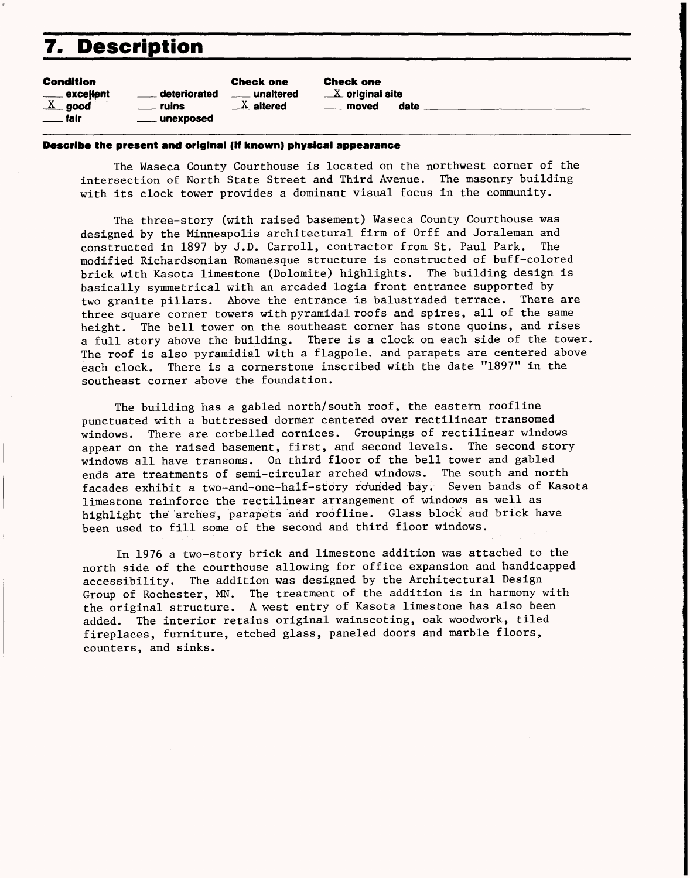### **7. Description**

| <b>Condition</b>                   |                                                                | <b>Check one</b>                                  |
|------------------------------------|----------------------------------------------------------------|---------------------------------------------------|
| ____ excellent<br>$X$ good<br>fair | ____ deteriorated<br><u>__</u> ruins<br><u>__</u> __ unexposed | <u>__</u> __ unaitered<br>$\underline{X}$ altered |

Check one  $\mathbb{X}$  original site moved date

### **Describe the present and original (if known) physical appearance**

The Waseca County Courthouse is located on the northwest corner of the intersection of North State Street and Third Avenue. The masonry building with its clock tower provides a dominant visual focus in the community.

The three-story (with raised basement) Waseca County Courthouse was designed by the Minneapolis architectural firm of Orff and Joraleman and constructed in 1897 by J.D. Carroll, contractor from. St. Paul Park. The modified Richardsonian Romanesque structure is constructed of buff-colored brick with Kasota limestone (Dolomite) highlights. The building design is basically symmetrical with an arcaded logia front entrance supported by two granite pillars. Above the entrance is balustraded terrace. There are three square corner towers with pyramidal roofs and spires, all of the same height. The bell tower on the southeast corner has stone quoins, and rises a full story above the building. There is a clock on each side of the tower. The roof is also pyramidial with a flagpole, and parapets are centered above each clock. There is a cornerstone inscribed with the date "1897" in the southeast corner above the foundation.

The building has a gabled north/south roof, the eastern roofline punctuated with a buttressed dormer centered over rectilinear transomed windows. There are corbelled cornices. Groupings of rectilinear windows appear on the raised basement, first, and second levels. The second story windows all have transoms. On third floor of the bell tower and gabled ends are treatments of semi-circular arched windows. The south and north facades exhibit a two-and-one-half-story rounded bay. Seven bands of Kasota limestone reinforce the rectilinear arrangement of windows as well as highlight the arches, parapets and roofline. Glass block and brick have been used to fill some of the second and third floor windows.

In 1976 a two-story brick and limestone addition was attached to the north side of the courthouse allowing for office expansion and handicapped accessibility. The addition was designed by the Architectural Design Group of Rochester, MN. The treatment of the addition is in harmony with the original structure. A west entry of Kasota limestone has also been added. The interior retains original wainscoting, oak woodwork, tiled fireplaces, furniture, etched glass, paneled doors and marble floors, counters, and sinks.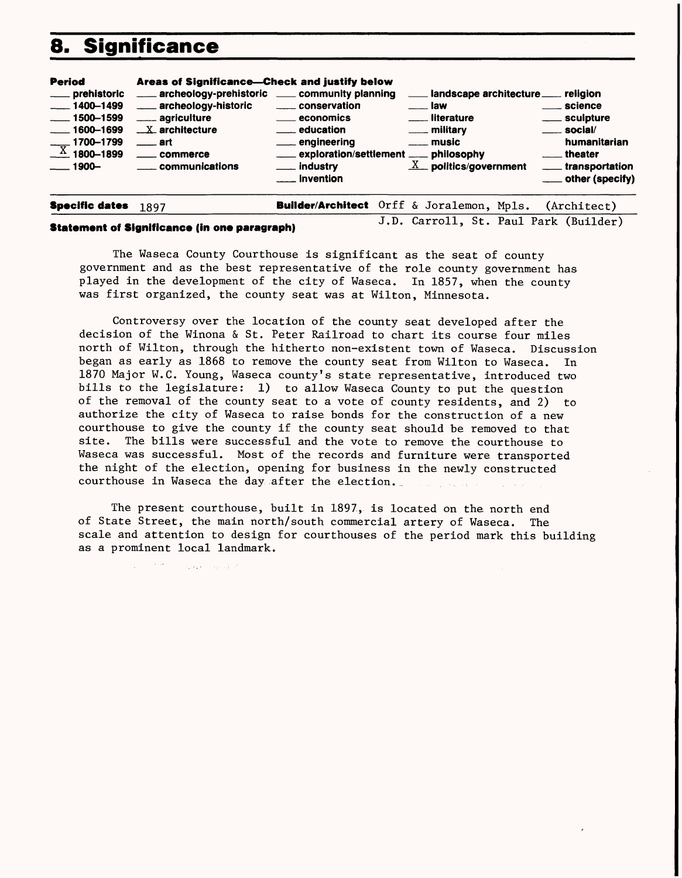# **8. Significance**

| <b>Period</b><br>____ prehistoric<br>$-1400 - 1499$<br>$\frac{1}{2}$ 1500-1599<br>$-1600 - 1699$<br>$\frac{X}{X}$ 1700-1799<br>$\frac{1}{2}$ 1900- | Areas of Significance-Check and justify below<br>archeology-prehistoric _____ community planning<br>___ archeology-historic<br><u>__</u> ___ agriculture<br>$X$ architecture<br>$\equiv$ art<br>_____ commerce<br><u>__</u> __ communications | conservation<br><u>__</u> economics<br><u>__</u> __ education<br>____ engineering<br>exploration/settlement ___ philosophy<br>___ industry<br><u>__</u> invention | landscape architecture ____ religion<br><b>Example 1</b> aw<br><u>___</u> _ literature<br><u>_</u> __ military<br><u>_</u> __ music<br>$X$ politics/government | <u>__</u> __ science<br>_____ sculpture<br>$\rule{1em}{0.15mm}$ social/<br>humanitarian<br><u>__</u> __ theater<br>____ transportation<br>___ other (specify) |
|----------------------------------------------------------------------------------------------------------------------------------------------------|-----------------------------------------------------------------------------------------------------------------------------------------------------------------------------------------------------------------------------------------------|-------------------------------------------------------------------------------------------------------------------------------------------------------------------|----------------------------------------------------------------------------------------------------------------------------------------------------------------|---------------------------------------------------------------------------------------------------------------------------------------------------------------|
| <b>Specific dates</b>                                                                                                                              | 1897                                                                                                                                                                                                                                          |                                                                                                                                                                   | Builder/Architect Orff & Joralemon, Mpls.                                                                                                                      | (Architect)                                                                                                                                                   |

 $\label{eq:1} \hat{\gamma}_1(\hat{\sigma}) = \gamma_{11} \gamma_{12} \gamma_{13} + \gamma_{11} \gamma_{12} \gamma_{13} \gamma_{14}$ 

**Statement of Significance (in one paragraph)** J.D. Carroll, St. Paul Park (Builder)

The Waseca County Courthouse is significant as the seat of county government and as the best representative of the role county government has played in the development of the city of Waseca. In 1857, when the county was first organized, the county seat was at Wilton, Minnesota.

Controversy over the location of the county seat developed after the decision of the Winona & St. Peter Railroad to chart its course four miles north of Wilton, through the hitherto non-existent town of Waseca. Discussion began as early as 1868 to remove the county seat from Wilton to Waseca. In 1870 Major W.C. Young, Waseca county's state representative, introduced two bills to the legislature: 1) to allow Waseca County to put the question of the removal of the county seat to a vote of county residents, and 2) to authorize the city of Waseca to raise bonds for the construction of a new courthouse to give the county if the county seat should be removed to that site. The bills were successful and the vote to remove the courthouse to Waseca was successful. Most of the records and furniture were transported the night of the election, opening for business in the newly constructed courthouse in Waseca the day after the election.

The present courthouse, built in 1897, is located on the north end of State Street, the main north/south commercial artery of Waseca. The scale and attention to design for courthouses of the period mark this building as a prominent local landmark.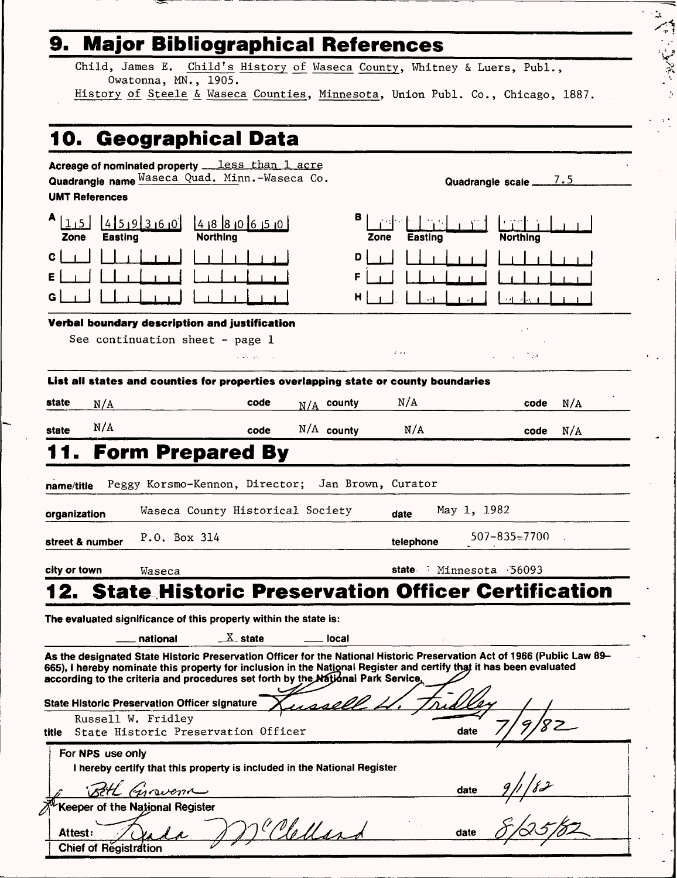# **9. Major Bibliographical References\_\_\_\_\_\_\_\_\_**

Child, James E. Child's History of Waseca County, Whitney & Luers, Publ., Owatonna, MN., 1905.

History of Steele & Waseca Counties, Minnesota, Union Publ. Co., Chicago, 1887.

≂

# **10. Geographical Data**

| Acreage of nominated property <u>less than 1 acre</u>                                                                                                                                                                                                                                                                               |                                      |  |  |  |  |  |
|-------------------------------------------------------------------------------------------------------------------------------------------------------------------------------------------------------------------------------------------------------------------------------------------------------------------------------------|--------------------------------------|--|--|--|--|--|
| Quadrangie name Maseca Quad. Minn.-Waseca Co.                                                                                                                                                                                                                                                                                       | Quadrangle scale _______7.5          |  |  |  |  |  |
| <b>UMT References</b>                                                                                                                                                                                                                                                                                                               |                                      |  |  |  |  |  |
| в<br>4519360<br>$\mathbf{1}$<br><u>  4   8   8   0   6   5   0  </u><br><b>Easting</b><br><b>Northing</b><br>Zone                                                                                                                                                                                                                   | Easting<br><b>Northing</b><br>Zone   |  |  |  |  |  |
| c<br>D                                                                                                                                                                                                                                                                                                                              |                                      |  |  |  |  |  |
| F<br>Ε                                                                                                                                                                                                                                                                                                                              |                                      |  |  |  |  |  |
| G<br>н                                                                                                                                                                                                                                                                                                                              |                                      |  |  |  |  |  |
|                                                                                                                                                                                                                                                                                                                                     |                                      |  |  |  |  |  |
| Verbal boundary description and justification                                                                                                                                                                                                                                                                                       |                                      |  |  |  |  |  |
| See continuation sheet - page $1$                                                                                                                                                                                                                                                                                                   |                                      |  |  |  |  |  |
|                                                                                                                                                                                                                                                                                                                                     | $\sigma \rightarrow \infty$<br>1 Jul |  |  |  |  |  |
|                                                                                                                                                                                                                                                                                                                                     |                                      |  |  |  |  |  |
| List all states and counties for properties overlapping state or county boundaries                                                                                                                                                                                                                                                  |                                      |  |  |  |  |  |
| code<br>state<br>N/A<br>$N/A$ county                                                                                                                                                                                                                                                                                                | N/A<br>N/A<br>code                   |  |  |  |  |  |
| N/A<br>$N/A$ county<br>code<br>state                                                                                                                                                                                                                                                                                                | N/A<br>N/A<br>code                   |  |  |  |  |  |
|                                                                                                                                                                                                                                                                                                                                     |                                      |  |  |  |  |  |
| <b>Form Prepared By</b>                                                                                                                                                                                                                                                                                                             |                                      |  |  |  |  |  |
| Peggy Korsmo-Kennon, Director; Jan Brown, Curator<br>name/title                                                                                                                                                                                                                                                                     |                                      |  |  |  |  |  |
| Waseca County Historical Society<br>organization                                                                                                                                                                                                                                                                                    | May 1, 1982<br>date                  |  |  |  |  |  |
| P.O. Box 314<br>street & number                                                                                                                                                                                                                                                                                                     | 507-835-7700<br>telephone            |  |  |  |  |  |
| city or town<br>Waseca                                                                                                                                                                                                                                                                                                              | Minnesota 56093<br>state :           |  |  |  |  |  |
|                                                                                                                                                                                                                                                                                                                                     |                                      |  |  |  |  |  |
| 2. State Historic Preservation Officer Certification                                                                                                                                                                                                                                                                                |                                      |  |  |  |  |  |
| The evaluated significance of this property within the state is:                                                                                                                                                                                                                                                                    |                                      |  |  |  |  |  |
| $X$ state<br>local<br>national                                                                                                                                                                                                                                                                                                      |                                      |  |  |  |  |  |
| As the designated State Historic Preservation Officer for the National Historic Preservation Act of 1966 (Public Law 89-<br>665), I hereby nominate this property for inclusion in the National Register and certify that it has been evaluated<br>according to the criteria and procedures set forth by the National Park Service, |                                      |  |  |  |  |  |
| <u>issell</u><br><b>State Historic Preservation Officer signature</b>                                                                                                                                                                                                                                                               |                                      |  |  |  |  |  |
| Russell W. Fridley<br>State Historic Preservation Officer<br>title                                                                                                                                                                                                                                                                  | date                                 |  |  |  |  |  |
|                                                                                                                                                                                                                                                                                                                                     |                                      |  |  |  |  |  |
| For NPS use only<br>I hereby certify that this property is included in the National Register                                                                                                                                                                                                                                        |                                      |  |  |  |  |  |
| novem-<br>date                                                                                                                                                                                                                                                                                                                      |                                      |  |  |  |  |  |
| Keeper of the National Register                                                                                                                                                                                                                                                                                                     |                                      |  |  |  |  |  |
| Clellan<br>Attest:                                                                                                                                                                                                                                                                                                                  | date                                 |  |  |  |  |  |
| Chief of Registration                                                                                                                                                                                                                                                                                                               |                                      |  |  |  |  |  |